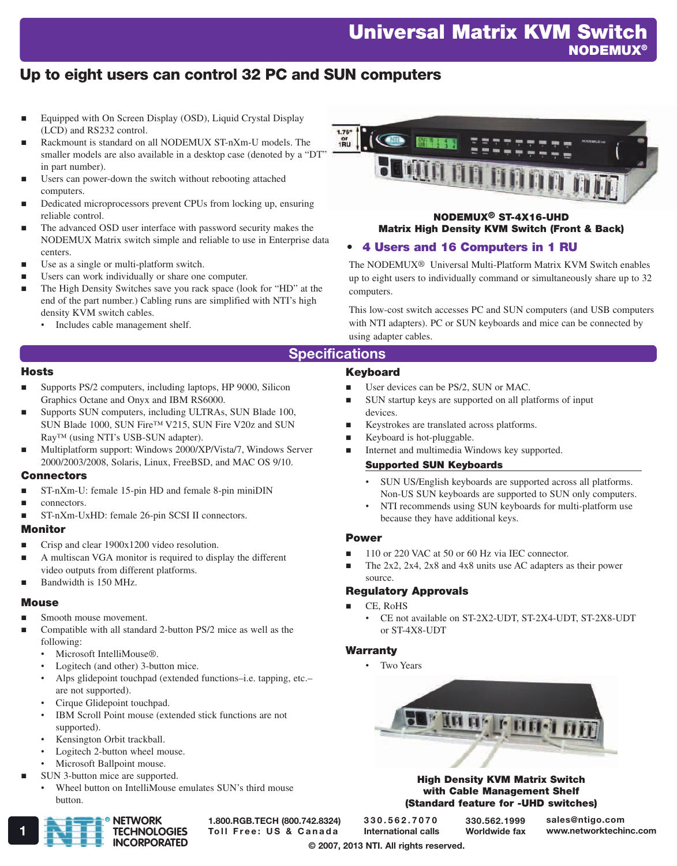# Universal Matrix KVM Switch **NODEMUX®**

# Up to eight users can control 32 PC and SUN computers

- Equipped with On Screen Display (OSD), Liquid Crystal Display (LCD) and RS232 control.
- Rackmount is standard on all NODEMUX ST-nXm-U models. The smaller models are also available in a desktop case (denoted by a "DT" in part number).
- Users can power-down the switch without rebooting attached computers.
- Dedicated microprocessors prevent CPUs from locking up, ensuring reliable control.
- The advanced OSD user interface with password security makes the NODEMUX Matrix switch simple and reliable to use in Enterprise data centers.
- Use as a single or multi-platform switch.
- Users can work individually or share one computer.
- The High Density Switches save you rack space (look for "HD" at the end of the part number.) Cabling runs are simplified with NTI's high density KVM switch cables.
	- Includes cable management shelf.



NODEMUX® ST-4X16-UHD Matrix High Density KVM Switch (Front & Back)

## • 4 Users and 16 Computers in 1 RU

User devices can be PS/2, SUN or MAC.

Keystrokes are translated across platforms.

Supported SUN Keyboards

because they have additional keys.

Keyboard is hot-pluggable.

The NODEMUX® Universal Multi-Platform Matrix KVM Switch enables up to eight users to individually command or simultaneously share up to 32 computers.

This low-cost switch accesses PC and SUN computers (and USB computers with NTI adapters). PC or SUN keyboards and mice can be connected by using adapter cables.

• SUN US/English keyboards are supported across all platforms. Non-US SUN keyboards are supported to SUN only computers. • NTI recommends using SUN keyboards for multi-platform use

The 2x2, 2x4, 2x8 and 4x8 units use AC adapters as their power

• CE not available on ST-2X2-UDT, ST-2X4-UDT, ST-2X8-UDT

SUN startup keys are supported on all platforms of input

Internet and multimedia Windows key supported.

110 or 220 VAC at 50 or 60 Hz via IEC connector.

## **Specifications**

Keyboard

Power

source.

**Warranty** 

CE, RoHS

• Two Years

Regulatory Approvals

or ST-4X8-UDT

devices.

#### **Hosts**

- Supports PS/2 computers, including laptops, HP 9000, Silicon Graphics Octane and Onyx and IBM RS6000.
- Supports SUN computers, including ULTRAs, SUN Blade 100, SUN Blade 1000, SUN Fire™ V215, SUN Fire V20z and SUN Ray™ (using NTI's USB-SUN adapter).
- Multiplatform support: Windows 2000/XP/Vista/7, Windows Server 2000/2003/2008, Solaris, Linux, FreeBSD, and MAC OS 9/10.

## **Connectors**

- ST-nXm-U: female 15-pin HD and female 8-pin miniDIN
- connectors.
- ST-nXm-UxHD: female 26-pin SCSI II connectors.

## Monitor

- Crisp and clear 1900x1200 video resolution.
- A multiscan VGA monitor is required to display the different video outputs from different platforms.
- Bandwidth is 150 MHz.

## **Mouse**

- Smooth mouse movement.
- Compatible with all standard 2-button PS/2 mice as well as the following:
	- Microsoft IntelliMouse®.
	- Logitech (and other) 3-button mice.
	- Alps glidepoint touchpad (extended functions–i.e. tapping, etc.– are not supported).
	- Cirque Glidepoint touchpad.
	- IBM Scroll Point mouse (extended stick functions are not supported).
	- Kensington Orbit trackball.
	- Logitech 2-button wheel mouse.
	- Microsoft Ballpoint mouse.
- SUN 3-button mice are supported.
- Wheel button on IntelliMouse emulates SUN's third mouse button.



1.800.RGB.TECH (800.742.8324)

330.562.7070 International calls

330.562.1999 Worldwide fax

High Density KVM Matrix Switch with Cable Management Shelf (Standard feature for -UHD switches)

**La Reference** 

sales@ntigo.com

© 2007, 2013 NTI. All rights reserved.